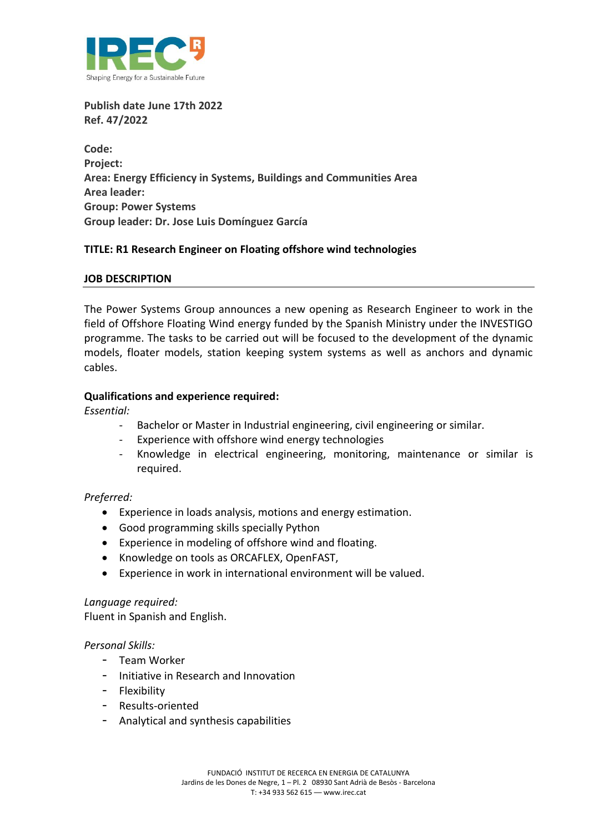

**Publish date June 17th 2022 Ref. 47/2022**

**Code: Project: Area: Energy Efficiency in Systems, Buildings and Communities Area Area leader: Group: Power Systems Group leader: Dr. Jose Luis Domínguez García**

# **TITLE: R1 Research Engineer on Floating offshore wind technologies**

### **JOB DESCRIPTION**

The Power Systems Group announces a new opening as Research Engineer to work in the field of Offshore Floating Wind energy funded by the Spanish Ministry under the INVESTIGO programme. The tasks to be carried out will be focused to the development of the dynamic models, floater models, station keeping system systems as well as anchors and dynamic cables.

# **Qualifications and experience required:**

*Essential:* 

- Bachelor or Master in Industrial engineering, civil engineering or similar.
- Experience with offshore wind energy technologies
- Knowledge in electrical engineering, monitoring, maintenance or similar is required.

### *Preferred:*

- Experience in loads analysis, motions and energy estimation.
- Good programming skills specially Python
- Experience in modeling of offshore wind and floating.
- Knowledge on tools as ORCAFLEX, OpenFAST,
- Experience in work in international environment will be valued.

### *Language required:*

Fluent in Spanish and English.

### *Personal Skills:*

- Team Worker
- Initiative in Research and Innovation
- Flexibility
- Results-oriented
- Analytical and synthesis capabilities